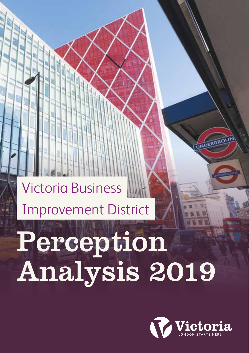

# Perception Analysis 2019

## Victoria Business Improvement District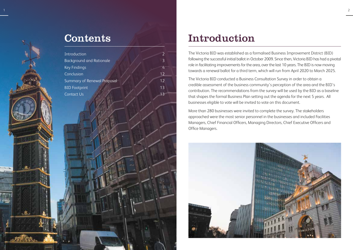

#### Contents

| Introduction<br>$\overline{2}$                    |  |
|---------------------------------------------------|--|
| $\overline{3}$<br><b>Background and Rationale</b> |  |
| Key Findings<br>$\overline{4}$                    |  |
| Conclusion<br>$12 \overline{)}$                   |  |
| Summary of Renewal Proposal<br>$12 \overline{)}$  |  |
| 13<br><b>BID</b> Footprint                        |  |
| Contact Us<br>13                                  |  |
|                                                   |  |
|                                                   |  |
|                                                   |  |
|                                                   |  |
|                                                   |  |
|                                                   |  |
|                                                   |  |
|                                                   |  |
|                                                   |  |
|                                                   |  |
|                                                   |  |
|                                                   |  |
|                                                   |  |
|                                                   |  |
|                                                   |  |
|                                                   |  |
|                                                   |  |
|                                                   |  |
|                                                   |  |
|                                                   |  |
|                                                   |  |
|                                                   |  |
|                                                   |  |
|                                                   |  |

#### Introduction

The Victoria BID was established as a formalised Business Improvement District (BID) following the successful initial ballot in October 2009. Since then, Victoria BID has had a pivotal role in facilitating improvements for the area, over the last 10 years. The BID is now moving towards a renewal ballot for a third term, which will run from April 2020 to March 2025.

The Victoria BID conducted a Business Consultation Survey in order to obtain a credible assessment of the business community's perception of the area and the BID's contribution. The recommendations from the survey will be used by the BID as a baseline that shapes the formal Business Plan setting out the agenda for the next 5 years. All businesses eligible to vote will be invited to vote on this document.

More than 280 businesses were invited to complete the survey. The stakeholders approached were the most senior personnel in the businesses and included Facilities Managers, Chief Financial Officers, Managing Directors, Chief Executive Officers and Office Managers.

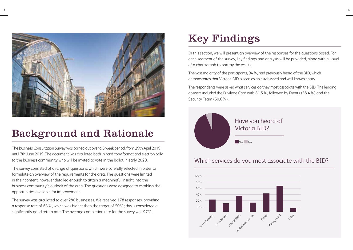

#### Background and Rationale

The Business Consultation Survey was carried out over a 6 week period, from 29th April 2019 until 7th June 2019. The document was circulated both in hard copy format and electronically to the business community who will be invited to vote in the ballot in early 2020.

The survey consisted of a range of questions, which were carefully selected in order to formulate an overview of the requirements for the area. The questions were limited in their content, however detailed enough to attain a meaningful insight into the business community's outlook of the area. The questions were designed to establish the opportunities available for improvement.

The survey was circulated to over 280 businesses. We received 178 responses, providing a response rate of 63%, which was higher than the target of 50%; this is considered a significantly good return rate. The average completion rate for the survey was 97%.

#### Key Findings

In this section, we will present an overview of the responses for the questions posed. For each segment of the survey, key findings and analysis will be provided, along with a visual of a chart/graph to portray the results.

The vast majority of the participants, 94%, had previously heard of the BID, which demonstrates that Victoria BID is seen as an established and well-known entity.

The respondents were asked what services do they most associate with the BID. The leading answers included the Privilege Card with 81.5%, followed by Events (58.4%) and the Security Team (50.6%).



#### Which services do you most associate with the BID?

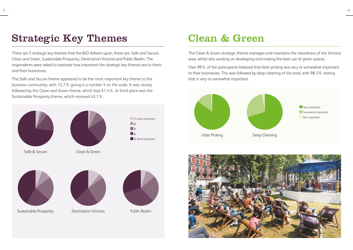#### Strategic Key Themes

There are 5 strategic key themes that the BID delivers upon, these are: Safe and Secure, Clean and Green, Sustainable Prosperity, Destination Victoria and Public Realm. The respondents were asked to evaluate how important the strategic key themes are to them and their businesses.

The Safe and Secure theme appeared to be the most important key theme to the business community, with 72.7% giving it a number 5 on the scale. It was closely followed by the Clean and Green theme, which had 61.4%. In third place was the Sustainable Prosperity theme, which received 42.1%.











#### Clean & Green

The Clean & Green strategic theme manages and maintains the cleanliness of the Victoria area, whilst also working on developing and making the best use of green spaces.

Over 99% of the participants believed that litter picking was very or somewhat important to their businesses. This was followed by deep cleaning of the area, with 98.3% stating that is very or somewhat important.



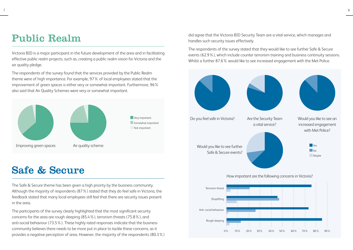#### Public Realm

Victoria BID is a major participant in the future development of the area and in facilitating effective public realm projects, such as, creating a public realm vision for Victoria and the air quality pledge.

The respondents of the survey found that the services provided by the Public Realm theme were of high importance. For example, 97% of local employees stated that the improvement of green spaces is either very or somewhat important. Furthermore, 96% also said that Air Quality Schemes were very or somewhat important.



#### Safe & Secure

The Safe & Secure theme has been given a high priority by the business community. Although the majority of respondents (87%) stated that they do feel safe in Victoria, the feedback stated that many local employees still feel that there are security issues present in the area.

The participants of the survey clearly highlighted that the most significant security concerns for the area are rough sleeping (85.4%), terrorism threats (75.8%), and anti-social behaviour (73.5%). These highly rated responses indicate that the business community believes there needs to be more put in place to tackle these concerns, as it provides a negative perception of area. However, the majority of the respondents (80.3%) did agree that the Victoria BID Security Team are a vital service, which manages and handles such security issues effectively.

The respondents of the survey stated that they would like to see further Safe & Secure events (62.9%), which include counter terrorism training and business continuity sessions. Whilst a further 87.6% would like to see increased engagement with the Met Police.



7 a viz Europa e a ser a ser a ser a ser a ser a ser a ser a ser a ser a ser a ser a ser a ser a ser a ser a s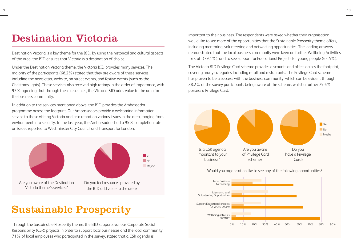#### Destination Victoria

Destination Victoria is a key theme for the BID. By using the historical and cultural aspects of the area, the BID ensures that Victoria is a destination of choice.

Under the Destination Victoria theme, the Victoria BID provides many services. The majority of the participants (68.2%) stated that they are aware of these services, including the newsletter, website, on-street events, and festive events (such as the Christmas lights). These services also received high ratings in the order of importance, with 97% agreeing that through these resources, the Victoria BID adds value to the area for the business community.

In addition to the services mentioned above, the BID provides the Ambassador programme across the footprint. Our Ambassadors provide a welcoming information service to those visiting Victoria and also report on various issues in the area, ranging from environmental to security. In the last year, the Ambassadors had a 95% completion rate on issues reported to Westminster City Council and Transport for London.



#### Sustainable Prosperity

Through the Sustainable Prosperity theme, the BID supports various Corporate Social Responsibility (CSR) projects in order to support local businesses and the local community. 71% of local employees who participated in the survey, stated that a CSR agenda is

important to their business. The respondents were asked whether their organisation would like to see more of the opportunities that the Sustainable Prosperity theme offers, including mentoring, volunteering and networking opportunities. The leading answers demonstrated that the local business community were keen on further Wellbeing Activities for staff (79.1%), and to see support for Educational Projects for young people (63.4%).

The Victoria BID Privilege Card scheme provides discounts and offers across the footprint, covering many categories including retail and restaurants. The Privilege Card scheme has proven to be a success with the business community, which can be evident through 88.2% of the survey participants being aware of the scheme, whilst a further 79.6% possess a Privilege Card.



Would you organisation like to see any of the following opportunities?

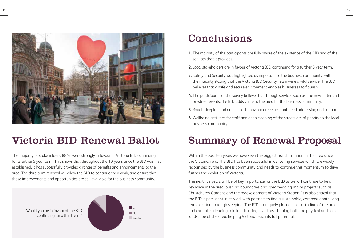

#### Victoria BID Renewal Ballot

The majority of stakeholders, 88%, were strongly in favour of Victoria BID continuing for a further 5 year term. This shows that throughout the 10 years since the BID was first established, it has successfully provided a range of benefits and enhancements to the area. The third term renewal will allow the BID to continue their work, and ensure that these improvements and opportunities are still available for the business community.



#### Conclusions

- **1.** The majority of the participants are fully aware of the existence of the BID and of the services that it provides.
- **2.** Local stakeholders are in favour of Victoria BID continuing for a further 5 year term.
- **3.** Safety and Security was highlighted as important to the business community, with the majority stating that the Victoria BID Security Team were a vital service. The BID believes that a safe and secure environment enables businesses to flourish.
- **4.** The participants of the survey believe that through services such as, the newsletter and on-street events, the BID adds value to the area for the business community.
- **5.** Rough sleeping and anti-social behaviour are issues that need addressing and support.
- **6.** Wellbeing activities for staff and deep cleaning of the streets are of priority to the local business community.

#### Summary of Renewal Proposal

Within the past ten years we have seen the biggest transformation in the area since the Victorian era. The BID has been successful in delivering services which are widely recognised by the business community and needs to continue this momentum to drive further the evolution of Victoria.

The next five years will be of key importance for the BID as we will continue to be a key voice in the area, pushing boundaries and spearheading major projects such as Christchurch Gardens and the redevelopment of Victoria Station. It is also critical that the BID is persistent in its work with partners to find a sustainable, compassionate, longterm solution to rough sleeping. The BID is uniquely placed as a custodian of the area and can take a leading role in attracting investors, shaping both the physical and social landscape of the area, helping Victoria reach its full potential.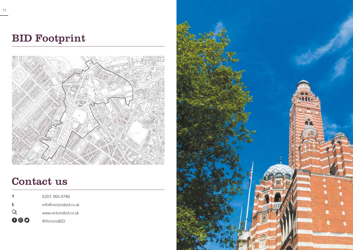### BID Footprint



#### Contact us

| т   | 0203 004 0786          |
|-----|------------------------|
| Е   | info@victoriabid.co.uk |
| デ   | www.victoriabid.co.uk  |
| 000 | @VictoriaBID           |